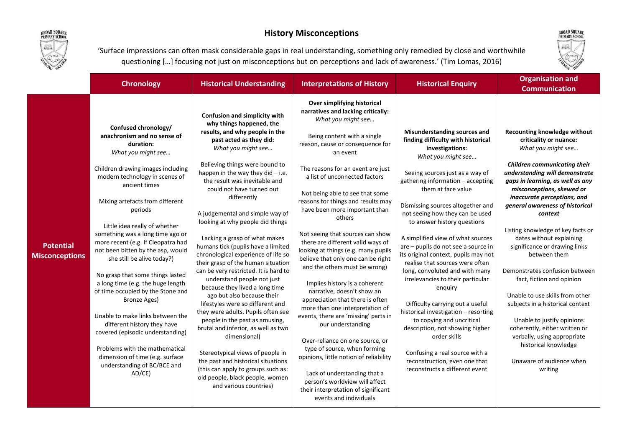

## History Misconceptions



'Surface impressions can often mask considerable gaps in real understanding, something only remedied by close and worthwhile questioning […] focusing not just on misconceptions but on perceptions and lack of awareness.' (Tim Lomas, 2016)

|                                           | <b>Chronology</b>                                                                                                                                                                                                                                                                                                                                                                                                                                                                                                                                                                                                                                                                                                                                                    | <b>Historical Understanding</b>                                                                                                                                                                                                                                                                                                                                                                                                                                                                                                                                                                                                                                                                                                                                                                                                                                                                                                                                                                                    | <b>Interpretations of History</b>                                                                                                                                                                                                                                                                                                                                                                                                                                                                                                                                                                                                                                                                                                                                                                                                                                                                                                                                                                          | <b>Historical Enquiry</b>                                                                                                                                                                                                                                                                                                                                                                                                                                                                                                                                                                                                                                                                                                                                                                                                  | <b>Organisation and</b><br><b>Communication</b>                                                                                                                                                                                                                                                                                                                                                                                                                                                                                                                                                                                                                                                                          |
|-------------------------------------------|----------------------------------------------------------------------------------------------------------------------------------------------------------------------------------------------------------------------------------------------------------------------------------------------------------------------------------------------------------------------------------------------------------------------------------------------------------------------------------------------------------------------------------------------------------------------------------------------------------------------------------------------------------------------------------------------------------------------------------------------------------------------|--------------------------------------------------------------------------------------------------------------------------------------------------------------------------------------------------------------------------------------------------------------------------------------------------------------------------------------------------------------------------------------------------------------------------------------------------------------------------------------------------------------------------------------------------------------------------------------------------------------------------------------------------------------------------------------------------------------------------------------------------------------------------------------------------------------------------------------------------------------------------------------------------------------------------------------------------------------------------------------------------------------------|------------------------------------------------------------------------------------------------------------------------------------------------------------------------------------------------------------------------------------------------------------------------------------------------------------------------------------------------------------------------------------------------------------------------------------------------------------------------------------------------------------------------------------------------------------------------------------------------------------------------------------------------------------------------------------------------------------------------------------------------------------------------------------------------------------------------------------------------------------------------------------------------------------------------------------------------------------------------------------------------------------|----------------------------------------------------------------------------------------------------------------------------------------------------------------------------------------------------------------------------------------------------------------------------------------------------------------------------------------------------------------------------------------------------------------------------------------------------------------------------------------------------------------------------------------------------------------------------------------------------------------------------------------------------------------------------------------------------------------------------------------------------------------------------------------------------------------------------|--------------------------------------------------------------------------------------------------------------------------------------------------------------------------------------------------------------------------------------------------------------------------------------------------------------------------------------------------------------------------------------------------------------------------------------------------------------------------------------------------------------------------------------------------------------------------------------------------------------------------------------------------------------------------------------------------------------------------|
| <b>Potential</b><br><b>Misconceptions</b> | Confused chronology/<br>anachronism and no sense of<br>duration:<br>What you might see<br>Children drawing images including<br>modern technology in scenes of<br>ancient times<br>Mixing artefacts from different<br>periods<br>Little idea really of whether<br>something was a long time ago or<br>more recent (e.g. If Cleopatra had<br>not been bitten by the asp, would<br>she still be alive today?)<br>No grasp that some things lasted<br>a long time (e.g. the huge length<br>of time occupied by the Stone and<br><b>Bronze Ages)</b><br>Unable to make links between the<br>different history they have<br>covered (episodic understanding)<br>Problems with the mathematical<br>dimension of time (e.g. surface<br>understanding of BC/BCE and<br>AD/CE) | Confusion and simplicity with<br>why things happened, the<br>results, and why people in the<br>past acted as they did:<br>What you might see<br>Believing things were bound to<br>happen in the way they did - i.e.<br>the result was inevitable and<br>could not have turned out<br>differently<br>A judgemental and simple way of<br>looking at why people did things<br>Lacking a grasp of what makes<br>humans tick (pupils have a limited<br>chronological experience of life so<br>their grasp of the human situation<br>can be very restricted. It is hard to<br>understand people not just<br>because they lived a long time<br>ago but also because their<br>lifestyles were so different and<br>they were adults. Pupils often see<br>people in the past as amusing,<br>brutal and inferior, as well as two<br>dimensional)<br>Stereotypical views of people in<br>the past and historical situations<br>(this can apply to groups such as:<br>old people, black people, women<br>and various countries) | Over simplifying historical<br>narratives and lacking critically:<br>What you might see<br>Being content with a single<br>reason, cause or consequence for<br>an event<br>The reasons for an event are just<br>a list of unconnected factors<br>Not being able to see that some<br>reasons for things and results may<br>have been more important than<br>others<br>Not seeing that sources can show<br>there are different valid ways of<br>looking at things (e.g. many pupils<br>believe that only one can be right<br>and the others must be wrong)<br>Implies history is a coherent<br>narrative, doesn't show an<br>appreciation that there is often<br>more than one interpretation of<br>events, there are 'missing' parts in<br>our understanding<br>Over-reliance on one source, or<br>type of source, when forming<br>opinions, little notion of reliability<br>Lack of understanding that a<br>person's worldview will affect<br>their interpretation of significant<br>events and individuals | Misunderstanding sources and<br>finding difficulty with historical<br>investigations:<br>What you might see<br>Seeing sources just as a way of<br>gathering information - accepting<br>them at face value<br>Dismissing sources altogether and<br>not seeing how they can be used<br>to answer history questions<br>A simplified view of what sources<br>are - pupils do not see a source in<br>its original context, pupils may not<br>realise that sources were often<br>long, convoluted and with many<br>irrelevancies to their particular<br>enquiry<br>Difficulty carrying out a useful<br>historical investigation - resorting<br>to copying and uncritical<br>description, not showing higher<br>order skills<br>Confusing a real source with a<br>reconstruction, even one that<br>reconstructs a different event | Recounting knowledge without<br>criticality or nuance:<br>What you might see<br><b>Children communicating their</b><br>understanding will demonstrate<br>gaps in learning, as well as any<br>misconceptions, skewed or<br>inaccurate perceptions, and<br>general awareness of historical<br>context<br>Listing knowledge of key facts or<br>dates without explaining<br>significance or drawing links<br>between them<br>Demonstrates confusion between<br>fact, fiction and opinion<br>Unable to use skills from other<br>subjects in a historical context<br>Unable to justify opinions<br>coherently, either written or<br>verbally, using appropriate<br>historical knowledge<br>Unaware of audience when<br>writing |